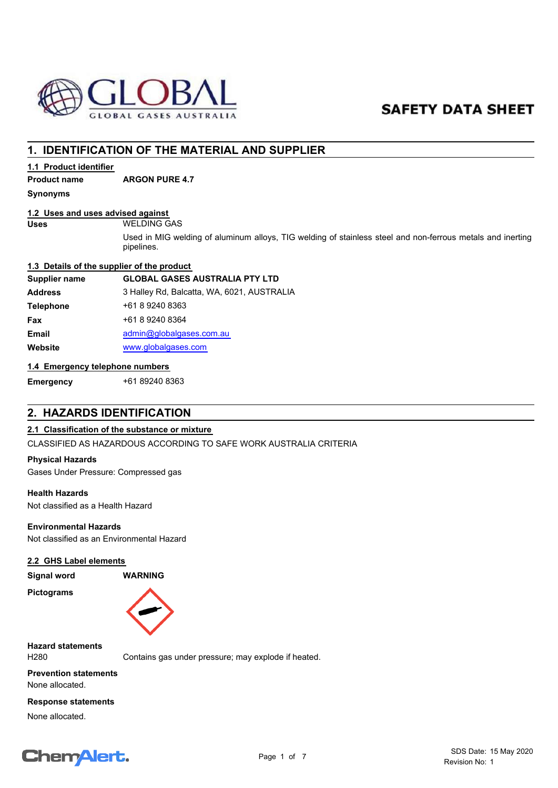

# **SAFETY DATA SHEET**

# **1. IDENTIFICATION OF THE MATERIAL AND SUPPLIER**

# **1.1 Product identifier**

**Product name ARGON PURE 4.7**

**Synonyms**

# **1.2 Uses and uses advised against**

#### **Uses** WELDING GAS

Used in MIG welding of aluminum alloys, TIG welding of stainless steel and non-ferrous metals and inerting pipelines.

## **1.3 Details of the supplier of the product**

| <b>GLOBAL GASES AUSTRALIA PTY LTD</b>      |
|--------------------------------------------|
| 3 Halley Rd, Balcatta, WA, 6021, AUSTRALIA |
| +61 8 9240 8363                            |
| +61 8 9240 8364                            |
| admin@globalgases.com.au                   |
| www.globalgases.com                        |
|                                            |

# **1.4 Emergency telephone numbers**

**Emergency** +61 89240 8363

# **2. HAZARDS IDENTIFICATION**

# **2.1 Classification of the substance or mixture**

CLASSIFIED AS HAZARDOUS ACCORDING TO SAFE WORK AUSTRALIA CRITERIA

## **Physical Hazards**

Gases Under Pressure: Compressed gas

## **Health Hazards**

Not classified as a Health Hazard

# **Environmental Hazards**

Not classified as an Environmental Hazard

## **2.2 GHS Label elements**

**Signal word WARNING**

**Pictograms**



**Hazard statements**

H280 Contains gas under pressure; may explode if heated.

**Prevention statements** None allocated.

## **Response statements**

None allocated.

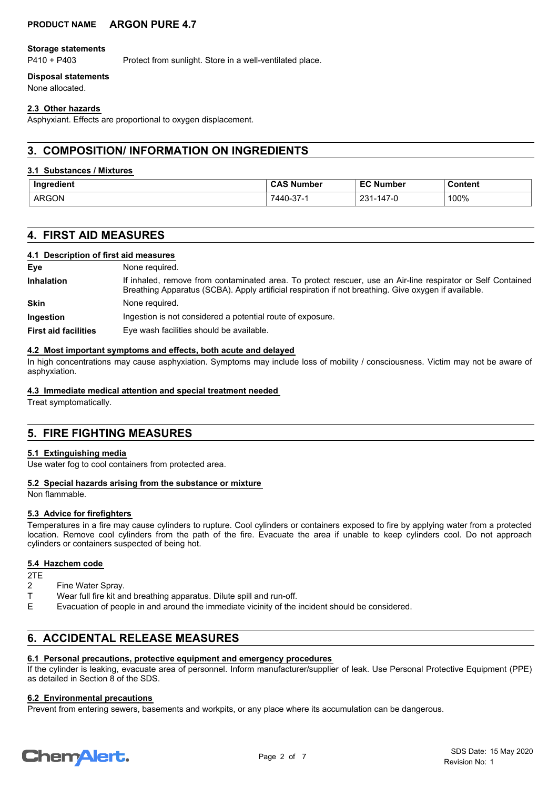# **PRODUCT NAME ARGON PURE 4.7**

#### **Storage statements**

P410 + P403 Protect from sunlight. Store in a well-ventilated place.

## **Disposal statements**

None allocated.

## **2.3 Other hazards**

Asphyxiant. Effects are proportional to oxygen displacement.

# **3. COMPOSITION/ INFORMATION ON INGREDIENTS**

## **3.1 Substances / Mixtures**

| Inaredient   | , Number<br><b>CAS</b>  | <b>EC Number</b>        | Content       |
|--------------|-------------------------|-------------------------|---------------|
| <b>ARGON</b> | 7440<br>$\sim$<br>J-31- | 147-เ<br>221<br>- ۵۱۰ . | 100%<br>$  -$ |

# **4. FIRST AID MEASURES**

## **4.1 Description of first aid measures**

| Eye                         | None required.                                                                                                                                                                                                      |
|-----------------------------|---------------------------------------------------------------------------------------------------------------------------------------------------------------------------------------------------------------------|
| <b>Inhalation</b>           | If inhaled, remove from contaminated area. To protect rescuer, use an Air-line respirator or Self Contained<br>Breathing Apparatus (SCBA). Apply artificial respiration if not breathing. Give oxygen if available. |
| <b>Skin</b>                 | None required.                                                                                                                                                                                                      |
| Ingestion                   | Ingestion is not considered a potential route of exposure.                                                                                                                                                          |
| <b>First aid facilities</b> | Eye wash facilities should be available.                                                                                                                                                                            |

## **4.2 Most important symptoms and effects, both acute and delayed**

In high concentrations may cause asphyxiation. Symptoms may include loss of mobility / consciousness. Victim may not be aware of asphyxiation.

### **4.3 Immediate medical attention and special treatment needed**

Treat symptomatically.

# **5. FIRE FIGHTING MEASURES**

## **5.1 Extinguishing media**

Use water fog to cool containers from protected area.

## **5.2 Special hazards arising from the substance or mixture**

Non flammable.

## **5.3 Advice for firefighters**

Temperatures in a fire may cause cylinders to rupture. Cool cylinders or containers exposed to fire by applying water from a protected location. Remove cool cylinders from the path of the fire. Evacuate the area if unable to keep cylinders cool. Do not approach cylinders or containers suspected of being hot.

## **5.4 Hazchem code**

2TE

- 2 Fine Water Spray.
- T Wear full fire kit and breathing apparatus. Dilute spill and run-off.
- E Evacuation of people in and around the immediate vicinity of the incident should be considered.

# **6. ACCIDENTAL RELEASE MEASURES**

# **6.1 Personal precautions, protective equipment and emergency procedures**

If the cylinder is leaking, evacuate area of personnel. Inform manufacturer/supplier of leak. Use Personal Protective Equipment (PPE) as detailed in Section 8 of the SDS.

#### **6.2 Environmental precautions**

Prevent from entering sewers, basements and workpits, or any place where its accumulation can be dangerous.

# **ChemAlert.**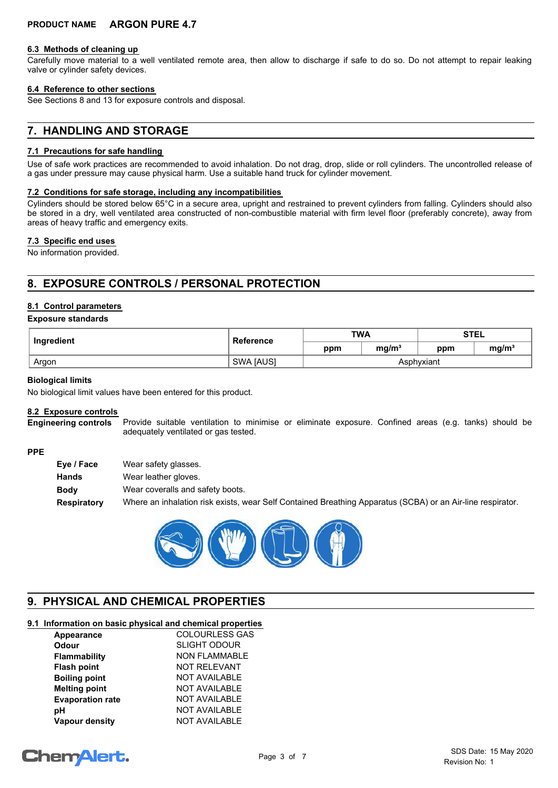#### **6.3 Methods of cleaning up**

Carefully move material to a well ventilated remote area, then allow to discharge if safe to do so. Do not attempt to repair leaking valve or cylinder safety devices.

#### **6.4 Reference to other sections**

See Sections 8 and 13 for exposure controls and disposal.

# **7. HANDLING AND STORAGE**

### **7.1 Precautions for safe handling**

Use of safe work practices are recommended to avoid inhalation. Do not drag, drop, slide or roll cylinders. The uncontrolled release of a gas under pressure may cause physical harm. Use a suitable hand truck for cylinder movement.

#### **7.2 Conditions for safe storage, including any incompatibilities**

Cylinders should be stored below 65°C in a secure area, upright and restrained to prevent cylinders from falling. Cylinders should also be stored in a dry, well ventilated area constructed of non-combustible material with firm level floor (preferably concrete), away from areas of heavy traffic and emergency exits.

#### **7.3 Specific end uses**

No information provided.

# **8. EXPOSURE CONTROLS / PERSONAL PROTECTION**

## **8.1 Control parameters**

#### **Exposure standards**

| Ingredient | Reference        | <b>TWA</b> |                   | <b>STEL</b> |                   |
|------------|------------------|------------|-------------------|-------------|-------------------|
|            |                  | ppm        | mg/m <sup>3</sup> | ppm         | mg/m <sup>3</sup> |
| Argon      | <b>SWA JAUSI</b> |            |                   | Asphvxiant  |                   |

#### **Biological limits**

No biological limit values have been entered for this product.

## **8.2 Exposure controls**

Provide suitable ventilation to minimise or eliminate exposure. Confined areas (e.g. tanks) should be adequately ventilated or gas tested. **Engineering controls**

#### **PPE**

| Eye / Face  | Wear safety glasses.                                                                                       |
|-------------|------------------------------------------------------------------------------------------------------------|
| Hands       | Wear leather gloves.                                                                                       |
| <b>Body</b> | Wear coveralls and safety boots.                                                                           |
| Respiratory | Where an inhalation risk exists, wear Self Contained Breathing Apparatus (SCBA) or an Air-line respirator. |



# **9. PHYSICAL AND CHEMICAL PROPERTIES**

# **9.1 Information on basic physical and chemical properties**

| <b>Appearance</b>       | <b>COLOURLESS GAS</b> |
|-------------------------|-----------------------|
| <b>Odour</b>            | <b>SLIGHT ODOUR</b>   |
| Flammability            | <b>NON FLAMMABLE</b>  |
| <b>Flash point</b>      | <b>NOT RELEVANT</b>   |
| <b>Boiling point</b>    | <b>NOT AVAILABLE</b>  |
| <b>Melting point</b>    | <b>NOT AVAILABLE</b>  |
| <b>Evaporation rate</b> | <b>NOT AVAILABLE</b>  |
| рH                      | <b>NOT AVAILABLE</b>  |
| <b>Vapour density</b>   | <b>NOT AVAILABLE</b>  |
|                         |                       |

# **ChemAlert.**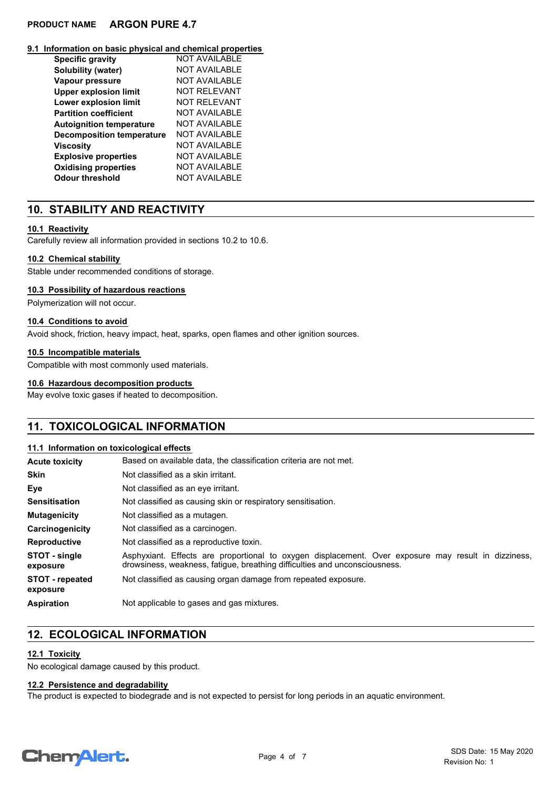# **PRODUCT NAME ARGON PURE 4.7**

#### **9.1 Information on basic physical and chemical properties**

| <b>Specific gravity</b>          | NOT AVAILABLE        |
|----------------------------------|----------------------|
| Solubility (water)               | NOT AVAILABLE        |
| Vapour pressure                  | NOT AVAILABLE        |
| <b>Upper explosion limit</b>     | NOT REI EVANT        |
| <b>Lower explosion limit</b>     | NOT REI EVANT        |
| <b>Partition coefficient</b>     | NOT AVAILABLE        |
| <b>Autoignition temperature</b>  | NOT AVAILABLE        |
| <b>Decomposition temperature</b> | NOT AVAILABLE        |
| Viscosity                        | NOT AVAILABLE        |
| <b>Explosive properties</b>      | <b>NOT AVAILABLE</b> |
| <b>Oxidising properties</b>      | <b>NOT AVAILABLE</b> |
| Odour threshold                  | NOT AVAILABLE        |

# **10. STABILITY AND REACTIVITY**

## **10.1 Reactivity**

Carefully review all information provided in sections 10.2 to 10.6.

# **10.2 Chemical stability**

Stable under recommended conditions of storage.

## **10.3 Possibility of hazardous reactions**

Polymerization will not occur.

## **10.4 Conditions to avoid**

Avoid shock, friction, heavy impact, heat, sparks, open flames and other ignition sources.

## **10.5 Incompatible materials**

Compatible with most commonly used materials.

## **10.6 Hazardous decomposition products**

May evolve toxic gases if heated to decomposition.

# **11. TOXICOLOGICAL INFORMATION**

#### **11.1 Information on toxicological effects**

| <b>Acute toxicity</b>              | Based on available data, the classification criteria are not met.                                                                                                                 |  |  |
|------------------------------------|-----------------------------------------------------------------------------------------------------------------------------------------------------------------------------------|--|--|
| <b>Skin</b>                        | Not classified as a skin irritant.                                                                                                                                                |  |  |
| Eye                                | Not classified as an eye irritant.                                                                                                                                                |  |  |
| <b>Sensitisation</b>               | Not classified as causing skin or respiratory sensitisation.                                                                                                                      |  |  |
| <b>Mutagenicity</b>                | Not classified as a mutagen.                                                                                                                                                      |  |  |
| Carcinogenicity                    | Not classified as a carcinogen.                                                                                                                                                   |  |  |
| <b>Reproductive</b>                | Not classified as a reproductive toxin.                                                                                                                                           |  |  |
| STOT - single<br>exposure          | Asphyxiant. Effects are proportional to oxygen displacement. Over exposure may result in dizziness,<br>drowsiness, weakness, fatigue, breathing difficulties and unconsciousness. |  |  |
| <b>STOT</b> - repeated<br>exposure | Not classified as causing organ damage from repeated exposure.                                                                                                                    |  |  |
| <b>Aspiration</b>                  | Not applicable to gases and gas mixtures.                                                                                                                                         |  |  |

# **12. ECOLOGICAL INFORMATION**

## **12.1 Toxicity**

No ecological damage caused by this product.

## **12.2 Persistence and degradability**

The product is expected to biodegrade and is not expected to persist for long periods in an aquatic environment.

# **ChemAlert.**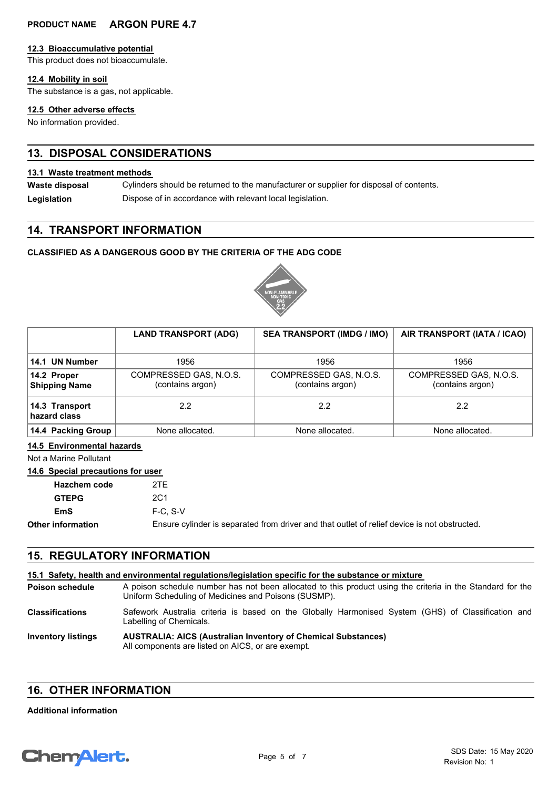# **PRODUCT NAME ARGON PURE 4.7**

#### **12.3 Bioaccumulative potential**

This product does not bioaccumulate.

# **12.4 Mobility in soil**

The substance is a gas, not applicable.

# **12.5 Other adverse effects**

No information provided.

# **13. DISPOSAL CONSIDERATIONS**

# **13.1 Waste treatment methods**

Cylinders should be returned to the manufacturer or supplier for disposal of contents. **Waste disposal**

Legislation **Dispose of in accordance with relevant local legislation.** 

# **14. TRANSPORT INFORMATION**

# **CLASSIFIED AS A DANGEROUS GOOD BY THE CRITERIA OF THE ADG CODE**



|                                     | <b>LAND TRANSPORT (ADG)</b>                | <b>SEA TRANSPORT (IMDG / IMO)</b>          | AIR TRANSPORT (IATA / ICAO)                |
|-------------------------------------|--------------------------------------------|--------------------------------------------|--------------------------------------------|
| 14.1 UN Number                      | 1956                                       | 1956                                       | 1956                                       |
| 14.2 Proper<br><b>Shipping Name</b> | COMPRESSED GAS, N.O.S.<br>(contains argon) | COMPRESSED GAS, N.O.S.<br>(contains argon) | COMPRESSED GAS, N.O.S.<br>(contains argon) |
| 14.3 Transport<br>hazard class      | 2.2                                        | 2.2                                        | 22                                         |
| 14.4 Packing Group                  | None allocated.                            | None allocated.                            | None allocated.                            |

# **14.5 Environmental hazards**

Not a Marine Pollutant

# **14.6 Special precautions for user**

| <b>Hazchem code</b> | 2TF                                                                                          |
|---------------------|----------------------------------------------------------------------------------------------|
| <b>GTEPG</b>        | 2C1                                                                                          |
| EmS                 | $F-C. S-V$                                                                                   |
| Other information   | Ensure cylinder is separated from driver and that outlet of relief device is not obstructed. |

# **15. REGULATORY INFORMATION**

| 15.1 Safety, health and environmental regulations/legislation specific for the substance or mixture |                                                                                                                                                                    |  |  |
|-----------------------------------------------------------------------------------------------------|--------------------------------------------------------------------------------------------------------------------------------------------------------------------|--|--|
| <b>Poison schedule</b>                                                                              | A poison schedule number has not been allocated to this product using the criteria in the Standard for the<br>Uniform Scheduling of Medicines and Poisons (SUSMP). |  |  |
| <b>Classifications</b>                                                                              | Safework Australia criteria is based on the Globally Harmonised System (GHS) of Classification and<br>Labelling of Chemicals.                                      |  |  |
| <b>Inventory listings</b>                                                                           | <b>AUSTRALIA: AICS (Australian Inventory of Chemical Substances)</b><br>All components are listed on AICS, or are exempt.                                          |  |  |

# **16. OTHER INFORMATION**

#### **Additional information**

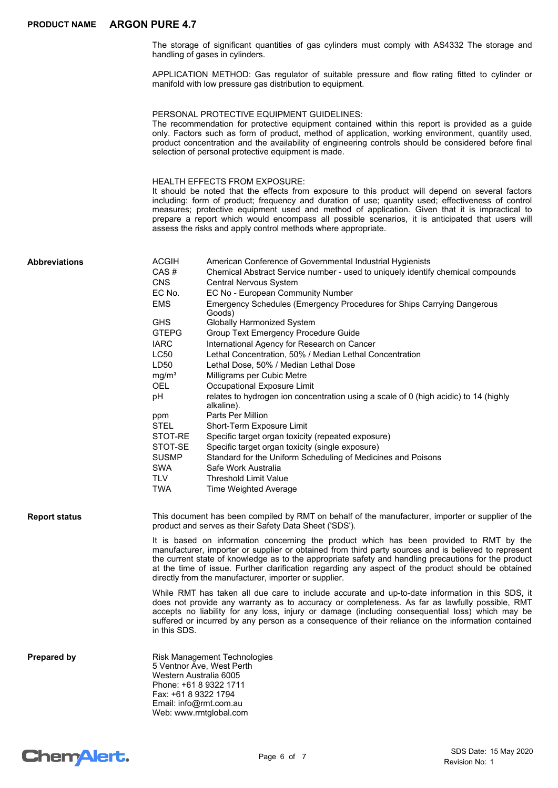The storage of significant quantities of gas cylinders must comply with AS4332 The storage and handling of gases in cylinders.

APPLICATION METHOD: Gas regulator of suitable pressure and flow rating fitted to cylinder or manifold with low pressure gas distribution to equipment.

#### PERSONAL PROTECTIVE EQUIPMENT GUIDELINES:

The recommendation for protective equipment contained within this report is provided as a guide only. Factors such as form of product, method of application, working environment, quantity used, product concentration and the availability of engineering controls should be considered before final selection of personal protective equipment is made.

#### HEALTH EFFECTS FROM EXPOSURE:

It should be noted that the effects from exposure to this product will depend on several factors including: form of product; frequency and duration of use; quantity used; effectiveness of control measures; protective equipment used and method of application. Given that it is impractical to prepare a report which would encompass all possible scenarios, it is anticipated that users will assess the risks and apply control methods where appropriate.

| <b>Abbreviations</b> | <b>ACGIH</b>                                   | American Conference of Governmental Industrial Hygienists                                                                                                                                                                                                                                                                                                                                                                                                              |
|----------------------|------------------------------------------------|------------------------------------------------------------------------------------------------------------------------------------------------------------------------------------------------------------------------------------------------------------------------------------------------------------------------------------------------------------------------------------------------------------------------------------------------------------------------|
|                      | CAS#                                           | Chemical Abstract Service number - used to uniquely identify chemical compounds                                                                                                                                                                                                                                                                                                                                                                                        |
|                      | <b>CNS</b>                                     | Central Nervous System                                                                                                                                                                                                                                                                                                                                                                                                                                                 |
|                      | EC No.                                         | EC No - European Community Number                                                                                                                                                                                                                                                                                                                                                                                                                                      |
|                      | <b>EMS</b>                                     | Emergency Schedules (Emergency Procedures for Ships Carrying Dangerous<br>Goods)                                                                                                                                                                                                                                                                                                                                                                                       |
|                      | <b>GHS</b>                                     | <b>Globally Harmonized System</b>                                                                                                                                                                                                                                                                                                                                                                                                                                      |
|                      | <b>GTEPG</b>                                   | Group Text Emergency Procedure Guide                                                                                                                                                                                                                                                                                                                                                                                                                                   |
|                      | IARC                                           | International Agency for Research on Cancer                                                                                                                                                                                                                                                                                                                                                                                                                            |
|                      | LC50                                           | Lethal Concentration, 50% / Median Lethal Concentration                                                                                                                                                                                                                                                                                                                                                                                                                |
|                      | LD50                                           | Lethal Dose, 50% / Median Lethal Dose                                                                                                                                                                                                                                                                                                                                                                                                                                  |
|                      | mg/m <sup>3</sup>                              | Milligrams per Cubic Metre                                                                                                                                                                                                                                                                                                                                                                                                                                             |
|                      | OEL                                            | Occupational Exposure Limit                                                                                                                                                                                                                                                                                                                                                                                                                                            |
|                      | рH                                             | relates to hydrogen ion concentration using a scale of 0 (high acidic) to 14 (highly<br>alkaline).                                                                                                                                                                                                                                                                                                                                                                     |
|                      | ppm                                            | Parts Per Million                                                                                                                                                                                                                                                                                                                                                                                                                                                      |
|                      | STEL                                           | Short-Term Exposure Limit                                                                                                                                                                                                                                                                                                                                                                                                                                              |
|                      | STOT-RE                                        | Specific target organ toxicity (repeated exposure)                                                                                                                                                                                                                                                                                                                                                                                                                     |
|                      | STOT-SE                                        | Specific target organ toxicity (single exposure)                                                                                                                                                                                                                                                                                                                                                                                                                       |
|                      | <b>SUSMP</b>                                   | Standard for the Uniform Scheduling of Medicines and Poisons                                                                                                                                                                                                                                                                                                                                                                                                           |
|                      | <b>SWA</b>                                     | Safe Work Australia                                                                                                                                                                                                                                                                                                                                                                                                                                                    |
|                      | TLV                                            | <b>Threshold Limit Value</b>                                                                                                                                                                                                                                                                                                                                                                                                                                           |
|                      | <b>TWA</b>                                     | Time Weighted Average                                                                                                                                                                                                                                                                                                                                                                                                                                                  |
| <b>Report status</b> |                                                | This document has been compiled by RMT on behalf of the manufacturer, importer or supplier of the<br>product and serves as their Safety Data Sheet ('SDS').                                                                                                                                                                                                                                                                                                            |
|                      |                                                | It is based on information concerning the product which has been provided to RMT by the<br>manufacturer, importer or supplier or obtained from third party sources and is believed to represent<br>the current state of knowledge as to the appropriate safety and handling precautions for the product<br>at the time of issue. Further clarification regarding any aspect of the product should be obtained<br>directly from the manufacturer, importer or supplier. |
|                      | in this SDS.                                   | While RMT has taken all due care to include accurate and up-to-date information in this SDS, it<br>does not provide any warranty as to accuracy or completeness. As far as lawfully possible, RMT<br>accepts no liability for any loss, injury or damage (including consequential loss) which may be<br>suffered or incurred by any person as a consequence of their reliance on the information contained                                                             |
| <b>Prepared by</b>   | Western Australia 6005<br>Fax: +61 8 9322 1794 | Risk Management Technologies<br>5 Ventnor Ave, West Perth<br>Phone: +61 8 9322 1711<br>Email: info@rmt.com.au<br>Web: www.rmtglobal.com                                                                                                                                                                                                                                                                                                                                |